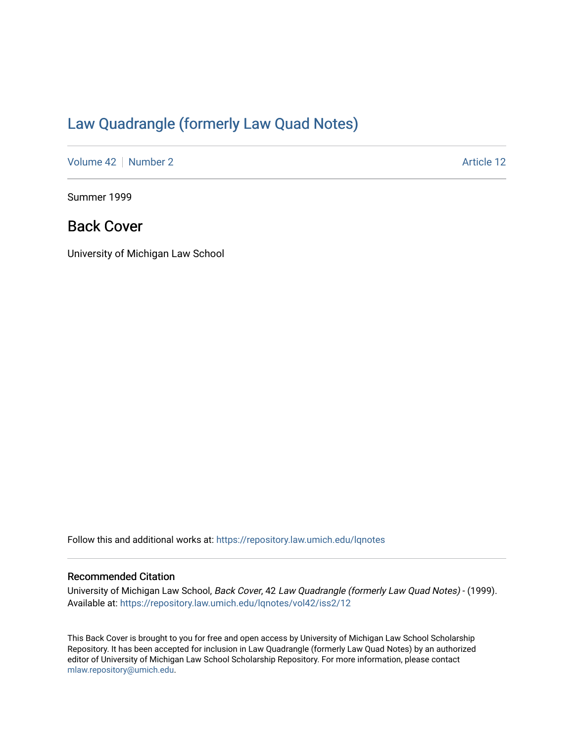## [Law Quadrangle \(formerly Law Quad Notes\)](https://repository.law.umich.edu/lqnotes)

[Volume 42](https://repository.law.umich.edu/lqnotes/vol42) [Number 2](https://repository.law.umich.edu/lqnotes/vol42/iss2) Article 12

Summer 1999

## Back Cover

University of Michigan Law School

Follow this and additional works at: [https://repository.law.umich.edu/lqnotes](https://repository.law.umich.edu/lqnotes?utm_source=repository.law.umich.edu%2Flqnotes%2Fvol42%2Fiss2%2F12&utm_medium=PDF&utm_campaign=PDFCoverPages) 

#### Recommended Citation

University of Michigan Law School, Back Cover, 42 Law Quadrangle (formerly Law Quad Notes) - (1999). Available at: [https://repository.law.umich.edu/lqnotes/vol42/iss2/12](https://repository.law.umich.edu/lqnotes/vol42/iss2/12?utm_source=repository.law.umich.edu%2Flqnotes%2Fvol42%2Fiss2%2F12&utm_medium=PDF&utm_campaign=PDFCoverPages)

This Back Cover is brought to you for free and open access by University of Michigan Law School Scholarship Repository. It has been accepted for inclusion in Law Quadrangle (formerly Law Quad Notes) by an authorized editor of University of Michigan Law School Scholarship Repository. For more information, please contact [mlaw.repository@umich.edu.](mailto:mlaw.repository@umich.edu)